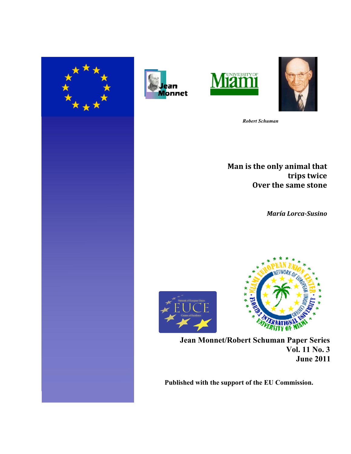







 *Robert Schuman* 

# **Man is the only animal that trips** twice **Over the same stone**

*María%Lorca)Susino*





**Jean Monnet/Robert Schuman Paper Series Vol. 11 No. 3 June 2011**

**Published with the support of the EU Commission.**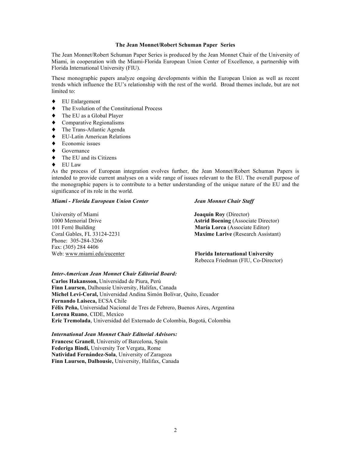### **The Jean Monnet/Robert Schuman Paper Series**

The Jean Monnet/Robert Schuman Paper Series is produced by the Jean Monnet Chair of the University of Miami, in cooperation with the Miami-Florida European Union Center of Excellence, a partnership with Florida International University (FIU).

These monographic papers analyze ongoing developments within the European Union as well as recent trends which influence the EU's relationship with the rest of the world. Broad themes include, but are not limited to:

- ♦ EU Enlargement
- ♦ The Evolution of the Constitutional Process
- ♦ The EU as a Global Player
- ♦ Comparative Regionalisms
- ♦ The Trans-Atlantic Agenda
- ♦ EU-Latin American Relations
- ♦ Economic issues
- ◆ Governance
- ♦ The EU and its Citizens
- ♦ EU Law

As the process of European integration evolves further, the Jean Monnet/Robert Schuman Papers is intended to provide current analyses on a wide range of issues relevant to the EU. The overall purpose of the monographic papers is to contribute to a better understanding of the unique nature of the EU and the significance of its role in the world.

## *Miami - Florida European Union Center Jean Monnet Chair Staff*

University of Miami **Joaquín Roy** (Director) Phone: 305-284-3266 Fax: (305) 284 4406

1000 Memorial Drive **Astrid Boening** (Associate Director) 101 Ferré Building **María Lorca** (Associate Editor) Coral Gables, FL 33124-2231 **Maxime Larive** (Research Assistant)

Web: www.miami.edu/eucenter **Florida International University** Rebecca Friedman (FIU, Co-Director)

## *Inter-American Jean Monnet Chair Editorial Board:*

**Carlos Hakansson,** Universidad de Piura, Perú **Finn Laursen,** Dalhousie University, Halifax, Canada **Michel Levi-Coral,** Universidad Andina Simón Bolívar, Quito, Ecuador **Fernando Laiseca,** ECSA Chile **Félix Peña,** Universidad Nacional de Tres de Febrero, Buenos Aires, Argentina **Lorena Ruano**, CIDE, Mexico **Eric Tremolada**, Universidad del Externado de Colombia, Bogotá, Colombia

## *International Jean Monnet Chair Editorial Advisors:*

**Francesc Granell**, University of Barcelona, Spain **Federiga Bindi,** University Tor Vergata, Rome **Natividad Fernández-Sola**, University of Zaragoza **Finn Laursen, Dalhousie,** University, Halifax, Canada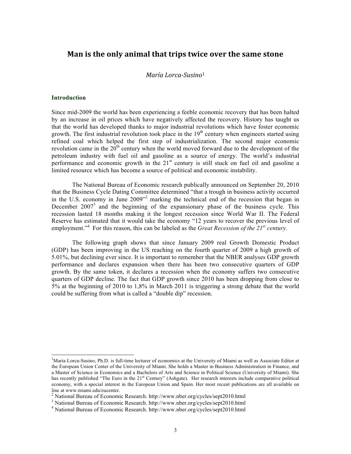## **Man is the only animal that trips twice over the same stone**

## *María Lorca-Susino*<sup>1</sup>

## **Introduction**

Since mid-2009 the world has been experiencing a feeble economic recovery that has been halted by an increase in oil prices which have negatively affected the recovery. History has taught us that the world has developed thanks to major industrial revolutions which have foster economic growth. The first industrial revolution took place in the  $19<sup>th</sup>$  century when engineers started using refined coal which helped the first step of industrialization. The second major economic revolution came in the  $20<sup>th</sup>$  century when the world moved forward due to the development of the petroleum industry with fuel oil and gasoline as a source of energy. The world's industrial performance and economic growth in the 21<sup>st</sup> century is still stuck on fuel oil and gasoline a limited resource which has become a source of political and economic instability.

The National Bureau of Economic research publically announced on September 20, 2010 that the Business Cycle Dating Committee determined "that a trough in business activity occurred in the U.S. economy in June 2009"<sup>2</sup> marking the technical end of the recession that began in December  $2007<sup>3</sup>$  and the beginning of the expansionary phase of the business cycle. This recession lasted 18 months making it the longest recession since World War II. The Federal Reserve has estimated that it would take the economy "12 years to recover the previous level of employment."<sup>4</sup> For this reason, this can be labeled as the *Great Recession of the* 21<sup>*st*</sup> *century*.

The following graph shows that since January 2009 real Growth Domestic Product (GDP) has been improving in the US reaching on the fourth quarter of 2009 a high growth of 5.01%, but declining ever since. It is important to remember that the NBER analyses GDP growth performance and declares expansion when there has been two consecutive quarters of GDP growth. By the same token, it declares a recession when the economy suffers two consecutive quarters of GDP decline. The fact that GDP growth since 2010 has been dropping from close to 5% at the beginning of 2010 to 1,8% in March 2011 is triggering a strong debate that the world could be suffering from what is called a "double dip" recession.

<sup>|&</sup>lt;br>|<br>| <sup>1</sup>María Lorca-Susino, Ph.D. is full-time lecturer of economics at the University of Miami as well as Associate Editor at the European Union Center of the University of Miami. She holds a Master in Business Administration in Finance, and a Master of Science in Economics and a Bachelors of Arts and Science in Political Science (University of Miami). She has recently published "The Euro in the 21<sup>st</sup> Century" (Ashgate). Her research interests include comparative political economy, with a special interest in the European Union and Spain. Her most recent publications are all available on line at www.miami.edu/eucenter.<br>
<sup>2</sup> National Bureau of Economic Research. http://www.nber.org/cycles/sept2010.html<br>
<sup>3</sup> National Bureau of Economic Research. http://www.nber.org/cycles/sept2010.html<br>
<sup>4</sup> National Bureau o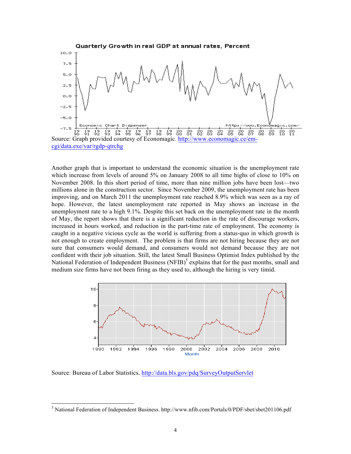

Another graph that is important to understand the economic situation is the unemployment rate which increase from levels of around 5% on January 2008 to all time highs of close to 10% on November 2008. In this short period of time, more than nine million jobs have been lost—two millions alone in the construction sector. Since November 2009, the unemployment rate has been improving, and on March 2011 the unemployment rate reached 8.9% which was seen as a ray of hope. However, the latest unemployment rate reported in May shows an increase in the unemployment rate to a high 9.1%. Despite this set back on the unemployment rate in the month of May, the report shows that there is a significant reduction in the rate of discourage workers, increased in hours worked, and reduction in the part-time rate of employment. The economy is caught in a negative vicious cycle as the world is suffering from a status-quo in which growth is not enough to create employment. The problem is that firms are not hiring because they are not sure that consumers would demand, and consumers would not demand because they are not confident with their job situation. Still, the latest Small Business Optimist Index published by the National Federation of Independent Business (NFIB) $<sup>5</sup>$  explains that for the past months, small and</sup> medium size firms have not been firing as they used to, although the hiring is very timid.



Source: Bureau of Labor Statistics. http://data.bls.gov/pdq/SurveyOutputServlet

 <sup>5</sup> National Federation of Independent Business. http://www.nfib.com/Portals/0/PDF/sbet/sbet201106.pdf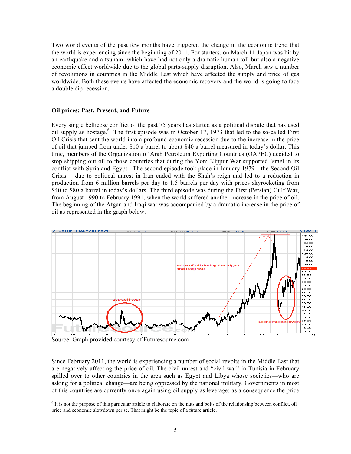Two world events of the past few months have triggered the change in the economic trend that the world is experiencing since the beginning of 2011. For starters, on March 11 Japan was hit by an earthquake and a tsunami which have had not only a dramatic human toll but also a negative economic effect worldwide due to the global parts-supply disruption. Also, March saw a number of revolutions in countries in the Middle East which have affected the supply and price of gas worldwide. Both these events have affected the economic recovery and the world is going to face a double dip recession.

## **Oil prices: Past, Present, and Future**

Every single bellicose conflict of the past 75 years has started as a political dispute that has used oil supply as hostage.<sup>6</sup> The first episode was in October 17, 1973 that led to the so-called First Oil Crisis that sent the world into a profound economic recession due to the increase in the price of oil that jumped from under \$10 a barrel to about \$40 a barrel measured in today's dollar. This time, members of the Organization of Arab Petroleum Exporting Countries (OAPEC) decided to stop shipping out oil to those countries that during the Yom Kippur War supported Israel in its conflict with Syria and Egypt. The second episode took place in January 1979—the Second Oil Crisis— due to political unrest in Iran ended with the Shah's reign and led to a reduction in production from 6 million barrels per day to 1.5 barrels per day with prices skyrocketing from \$40 to \$80 a barrel in today's dollars. The third episode was during the First (Persian) Gulf War, from August 1990 to February 1991, when the world suffered another increase in the price of oil. The beginning of the Afgan and Iraqi war was accompanied by a dramatic increase in the price of oil as represented in the graph below.



Source: Graph provided courtesy of Futuresource.com

Since February 2011, the world is experiencing a number of social revolts in the Middle East that are negatively affecting the price of oil. The civil unrest and "civil war" in Tunisia in February spilled over to other countries in the area such as Egypt and Libya whose societies—who are asking for a political change—are being oppressed by the national military. Governments in most of this countries are currently once again using oil supply as leverage; as a consequence the price

 $<sup>6</sup>$  It is not the purpose of this particular article to elaborate on the nuts and bolts of the relationship between conflict, oil</sup> price and economic slowdown per se. That might be the topic of a future article.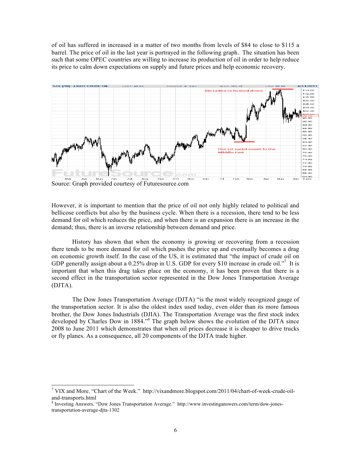of oil has suffered in increased in a matter of two months from levels of \$84 to close to \$115 a barrel. The price of oil in the last year is portrayed in the following graph. The situation has been such that some OPEC countries are willing to increase its production of oil in order to help reduce its price to calm down expectations on supply and future prices and help economic recovery.



Source: Graph provided courtesy of Futuresource.com

However, it is important to mention that the price of oil not only highly related to political and bellicose conflicts but also by the business cycle. When there is a recession, there tend to be less demand for oil which reduces the price, and when there is an expansion there is an increase in the demand; thus, there is an inverse relationship between demand and price.

History has shown that when the economy is growing or recovering from a recession there tends to be more demand for oil which pushes the price up and eventually becomes a drag on economic growth itself. In the case of the US, it is estimated that "the impact of crude oil on GDP generally assign about a 0.25% drop in U.S. GDP for every \$10 increase in crude oil."<sup>7</sup> It is important that when this drag takes place on the economy, it has been proven that there is a second effect in the transportation sector represented in the Dow Jones Transportation Average (DJTA).

The Dow Jones Transportation Average (DJTA) "is the most widely recognized gauge of the transportation sector. It is also the oldest index used today, even older than its more famous brother, the Dow Jones Industrials (DJIA). The Transportation Average was the first stock index developed by Charles Dow in 1884."<sup>8</sup> The graph below shows the evolution of the DJTA since 2008 to June 2011 which demonstrates that when oil prices decrease it is cheaper to drive trucks or fly planes. As a consequence, all 20 components of the DJTA trade higher.

 <sup>7</sup> VIX and More. "Chart of the Week." http://vixandmore.blogspot.com/2011/04/chart-of-week-crude-oiland-transports.html<br><sup>8</sup> Investing Answers. "Dow Jones Transportation Average." http://www.investinganswers.com/term/dow-jones-

transportation-average-djta-1302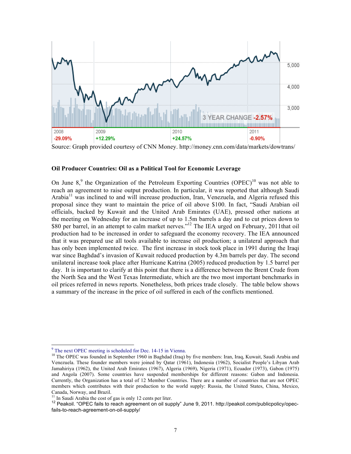

Source: Graph provided courtesy of CNN Money. http://money.cnn.com/data/markets/dowtrans/

## **Oil Producer Countries: Oil as a Political Tool for Economic Leverage**

On June  $8<sup>9</sup>$ , the Organization of the Petroleum Exporting Countries (OPEC)<sup>10</sup> was not able to reach an agreement to raise output production. In particular, it was reported that although Saudi Arabia<sup>11</sup> was inclined to and will increase production, Iran, Venezuela, and Algeria refused this proposal since they want to maintain the price of oil above \$100. In fact, "Saudi Arabian oil officials, backed by Kuwait and the United Arab Emirates (UAE), pressed other nations at the meeting on Wednesday for an increase of up to 1.5m barrels a day and to cut prices down to \$80 per barrel, in an attempt to calm market nerves."<sup>12</sup> The IEA urged on February, 2011 that oil production had to be increased in order to safeguard the economy recovery. The IEA announced that it was prepared use all tools available to increase oil production; a unilateral approach that has only been implemented twice. The first increase in stock took place in 1991 during the Iraqi war since Baghdad's invasion of Kuwait reduced production by 4.3m barrels per day. The second unilateral increase took place after Hurricane Katrina (2005) reduced production by 1.5 barrel per day. It is important to clarify at this point that there is a difference between the Brent Crude from the North Sea and the West Texas Intermediate, which are the two most important benchmarks in oil prices referred in news reports. Nonetheless, both prices trade closely. The table below shows a summary of the increase in the price of oil suffered in each of the conflicts mentioned.

<sup>&</sup>lt;sup>9</sup> The next OPEC meeting is scheduled for Dec. 14-15 in Vienna.<br><sup>10</sup> The OPEC was founded in September 1960 in Baghdad (Iraq) by five members: Iran, Iraq, Kuwait, Saudi Arabia and Venezuela. These founder members were joined by Qatar (1961), Indonesia (1962), Socialist People's Libyan Arab Jamahiriya (1962), the United Arab Emirates (1967), Algeria (1969), Nigeria (1971), Ecuador (1973), Gabon (1975) and Angola (2007). Some countries have suspended memberships for different reasons: Gabon and Indonesia. Currently, the Organization has a total of 12 Member Countries. There are a number of countries that are not OPEC members which contributes with their production to the world supply: Russia, the United States, China, Mexico, Canada, Norway, and Brazil.<br><sup>11</sup> In Saudi Arabia the cost of gas is only 12 cents per liter.

<sup>&</sup>lt;sup>12</sup> Peakoil. "OPEC fails to reach agreement on oil supply" June 9, 2011. http://peakoil.com/publicpolicy/opecfails-to-reach-agreement-on-oil-supply/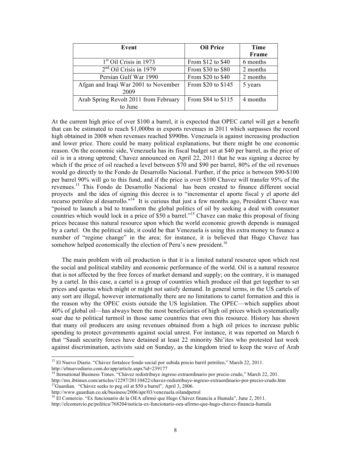| Event                                 | <b>Oil Price</b>   | <b>Time</b> |
|---------------------------------------|--------------------|-------------|
|                                       |                    | Frame       |
| $1st$ Oil Crisis in 1973              | From \$12 to \$40  | 6 months    |
| $2nd$ Oil Crisis in 1979              | From \$30 to \$80  | 2 months    |
| Persian Gulf War 1990                 | From \$20 to \$40  | 2 months    |
| Afgan and Iraqi War 2001 to November  | From \$20 to \$145 | 5 years     |
| 2009                                  |                    |             |
| Arab Spring Revolt 2011 from February | From \$84 to \$115 | 4 months    |
| to June                               |                    |             |

At the current high price of over \$100 a barrel, it is expected that OPEC cartel will get a benefit that can be estimated to reach \$1,000bn in exports revenues in 2011 which surpasses the record high obtained in 2008 when revenues reached \$990bn. Venezuela is against increasing production and lower price. There could be many political explanations, but there might be one economic reason. On the economic side, Venezuela has its fiscal budget set at \$40 per barrel, as the price of oil is in a strong uptrend; Chavez announced on April 22, 2011 that he was signing a decree by which if the price of oil reached a level between \$70 and \$90 per barrel, 80% of the oil revenues would go directly to the Fondo de Desarrollo Nacional. Further, if the price is between \$90-\$100 per barrel 90% will go to this fund, and if the price is over \$100 Chavez will transfer 95% of the revenues.13 This Fondo de Desarrollo Nacional has been created to finance different social proyects and the idea of signing this decree is to "incrementar el aporte fiscal y el aporte del recurso petróleo al desarrollo."<sup>14</sup> It is curious that just a few months ago, President Chavez was "poised to launch a bid to transform the global politics of oil by seeking a deal with consumer countries which would lock in a price of \$50 a barrel."<sup>15</sup> Chavez can make this proposal of fixing prices because this natural resource upon which the world economic growth depends is managed by a cartel. On the political side, it could be that Venezuela is using this extra money to finance a number of "regime change" in the area; for instance, it is believed that Hugo Chavez has somehow helped economically the election of Peru's new president.<sup>16</sup>

The main problem with oil production is that it is a limited natural resource upon which rest the social and political stability and economic performance of the world. Oil is a natural resource that is not affected by the free forces of market demand and supply; on the contrary, it is managed by a cartel. In this case, a cartel is a group of countries which produce oil that get together to set prices and quotas which might or might not satisfy demand. In general terms, in the US cartels of any sort are illegal, however internationally there are no limitations to cartel formation and this is the reason why the OPEC exists outside the US legislation. The OPEC—which supplies about 40% of global oil—has always been the most beneficiaries of high oil prices which systematically soar due to political turmoil in those same countries that own this resource. History has shown that many oil producers are using revenues obtained from a high oil prices to increase public spending to protect governments against social unrest. For instance, it was reported on March 6 that "Saudi security forces have detained at least 22 minority Shi'ites who protested last week against discrimination, activists said on Sunday, as the kingdom tried to keep the wave of Arab

<sup>&</sup>lt;sup>13</sup> El Nuevo Diario. "Chávez fortalece fondo social por subida precio barril petróleo," March 22, 2011.<br>http://elnuevodiario.com.do/app/article.aspx?id=239177

<sup>&</sup>lt;sup>14</sup> Iternational Business Times. "Chávez redistribuye ingreso extraordinario por precio crudo," March 22, 201.

http://mx.ibtimes.com/articles/12297/20110422/chavez-redistribuye-ingreso-extraordinario-por-precio-crudo.htm <sup>15</sup>Guardian. "Chávez seeks to peg oil at \$50 a barrel", April 3, 2006.

http://www.guardian.co.uk/business/2006/apr/03/venezuela.oilandpetrol

<sup>16</sup> El Comercio. "Ex funcionario de la OEA afirmó que Hugo Chávez financia a Humala", June 2, 2011.

http://elcomercio.pe/politica/768204/noticia-ex-funcionario-oea-afirmo-que-hugo-chavez-financia-humala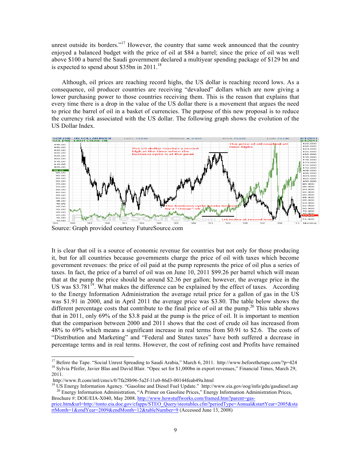unrest outside its borders."<sup>17</sup> However, the country that same week announced that the country enjoyed a balanced budget with the price of oil at \$84 a barrel; since the price of oil was well above \$100 a barrel the Saudi government declared a multiyear spending package of \$129 bn and is expected to spend about \$35bn in  $2011$ .<sup>18</sup>

Although, oil prices are reaching record highs, the US dollar is reaching record lows. As a consequence, oil producer countries are receiving "devalued" dollars which are now giving a lower purchasing power to those countries receiving them. This is the reason that explains that every time there is a drop in the value of the US dollar there is a movement that argues the need to price the barrel of oil in a basket of currencies. The purpose of this new proposal is to reduce the currency risk associated with the US dollar. The following graph shows the evolution of the US Dollar Index.



It is clear that oil is a source of economic revenue for countries but not only for those producing it, but for all countries because governments charge the price of oil with taxes which become government revenues: the price of oil paid at the pump represents the price of oil plus a series of taxes. In fact, the price of a barrel of oil was on June 10, 2011 \$99.26 per barrel which will mean that at the pump the price should be around \$2.36 per gallon; however, the average price in the US was  $$3.781<sup>19</sup>$ . What makes the difference can be explained by the effect of taxes. According to the Energy Information Administration the average retail price for a gallon of gas in the US was \$1.91 in 2000, and in April 2011 the average price was \$3.80. The table below shows the different percentage costs that contribute to the final price of oil at the pump.<sup>20</sup> This table shows that in 2011, only 69% of the \$3.8 paid at the pump is the price of oil. It is important to mention that the comparison between 2000 and 2011 shows that the cost of crude oil has increased from 48% to 69% which means a significant increase in real terms from \$0.91 to \$2.6. The costs of "Distribution and Marketing" and "Federal and States taxes" have both suffered a decrease in percentage terms and in real terms. However, the cost of refining cost and Profits have remained

US Energy Information Agency. "Gasoline and Diesel Fuel Update." http://www.eia.gov/oog/info/gdu/gasdiesel.asp <sup>20</sup> Energy Information Administration, "A Primer on Gasoline Prices," Energy Information Administration Prices, Brochure #: DOE/EIA-X040, May 2008. http://www.howstuffworks.com/framed.htm?parent=gas-

<sup>&</sup>lt;sup>17</sup> Before the Tape. "Social Unrest Spreading to Saudi Arabia," March 6, 2011. http://www.beforethetape.com/?p=424<br><sup>18</sup> Sylvia Pfeifer, Javier Blas and David Blair. "Opec set for \$1,000bn in export revenues," Financial T 2011.<br>http://www.ft.com/intl/cms/s/0/7fa28b96-5a2f-11e0-86d3-00144feab49a.html

price.htm&url=http://tonto.eia.doe.gov/cfapps/STEO\_Query/steotables.cfm?periodType=Annual&startYear=2005&sta rtMonth=1&endYear=2009&endMonth=12&tableNumber=9 (Accessed June 13, 2008)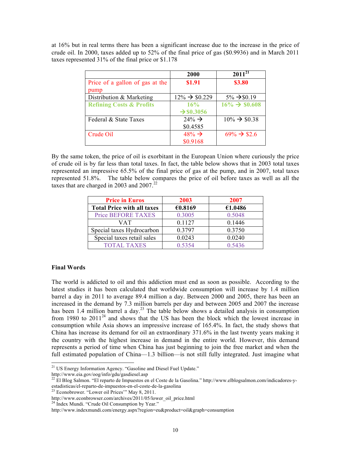at 16% but in real terms there has been a significant increase due to the increase in the price of crude oil. In 2000, taxes added up to 52% of the final price of gas (\$0.9936) and in March 2011 taxes represented 31% of the final price or \$1.178

|                                     | <b>2000</b>               | $2011^{2T}$               |
|-------------------------------------|---------------------------|---------------------------|
| Price of a gallon of gas at the     | \$1.91                    | \$3.80                    |
| pump                                |                           |                           |
| Distribution & Marketing            | $12\% \rightarrow $0.229$ | $5\% \rightarrow 0.19$    |
| <b>Refining Costs &amp; Profits</b> | 16%                       | $16\% \rightarrow $0.608$ |
|                                     | $\rightarrow$ \$0.3056    |                           |
| Federal & State Taxes               | $24\% \rightarrow$        | $10\% \rightarrow $0.38$  |
|                                     | \$0.4585                  |                           |
| Crude Oil                           | $48\% \rightarrow$        | $69\% \rightarrow$ \$2.6  |
|                                     | \$0.9168                  |                           |

By the same token, the price of oil is exorbitant in the European Union where curiously the price of crude oil is by far less than total taxes. In fact, the table below shows that in 2003 total taxes represented an impressive 65.5% of the final price of gas at the pump, and in 2007, total taxes represented 51.8%. The table below compares the price of oil before taxes as well as all the taxes that are charged in 2003 and  $2007$ .<sup>22</sup>

| <b>Price in Euros</b>             | 2003    | 2007    |
|-----------------------------------|---------|---------|
| <b>Total Price with all taxes</b> | €0.8169 | €1.0486 |
| <b>Price BEFORE TAXES</b>         | 0.3005  | 0.5048  |
| VAT                               | 0.1127  | 0.1446  |
| Special taxes Hydrocarbon         | 0.3797  | 0.3750  |
| Special taxes retail sales        | 0.0243  | 0.0240  |
| <b>TOTAL TAXES</b>                | 0.5354  | 0.5436  |

## **Final Words**

The world is addicted to oil and this addiction must end as soon as possible. According to the latest studies it has been calculated that worldwide consumption will increase by 1.4 million barrel a day in 2011 to average 89.4 million a day. Between 2000 and 2005, there has been an increased in the demand by 7.3 million barrels per day and between 2005 and 2007 the increase has been 1.4 million barrel a day.<sup>23</sup> The table below shows a detailed analysis in consumption from 1980 to  $2011<sup>24</sup>$  and shows that the US has been the block which the lowest increase in consumption while Asia shows an impressive increase of 165.4%. In fact, the study shows that China has increase its demand for oil an extraordinary 371.6% in the last twenty years making it the country with the highest increase in demand in the entire world. However, this demand represents a period of time when China has just beginning to join the free market and when the full estimated population of China—1.3 billion—is not still fully integrated. Just imagine what

<sup>&</sup>lt;sup>21</sup> US Energy Information Agency. "Gasoline and Diesel Fuel Update."

 $h_{\text{th}}$  =  $\frac{1}{\text{cm}}$  =  $h_{\text{th}}$  =  $h_{\text{th}}$  =  $h_{\text{th}}$  =  $h_{\text{th}}$  =  $h_{\text{th}}$  =  $h_{\text{th}}$  =  $h_{\text{th}}$  =  $h_{\text{th}}$  =  $h_{\text{th}}$  =  $h_{\text{th}}$  =  $h_{\text{th}}$  =  $h_{\text{th}}$  =  $h_{\text{th}}$  =  $h_{\text{th}}$  =  $h_{\text{th}}$  =  $h_{\text{th}}$  =  $h$ 

 $2$  El Blog Salmon. "El reparto de Impuestos en el Coste de la Gasolina." http://www.elblogsalmon.com/indicadores-yestadisticas/el-reparto-de-impuestos-en-el-coste-de-la-gasolina<br><sup>23</sup> Econobrower. "Lower oil Prices'" May 8, 2011.

http://www.econbrowser.com/archives/2011/05/lower\_oil\_price.html

<sup>&</sup>lt;sup>24</sup> Index Mundi. "Crude Oil Consumption by Year."

http://www.indexmundi.com/energy.aspx?region=eu&product=oil&graph=consumption